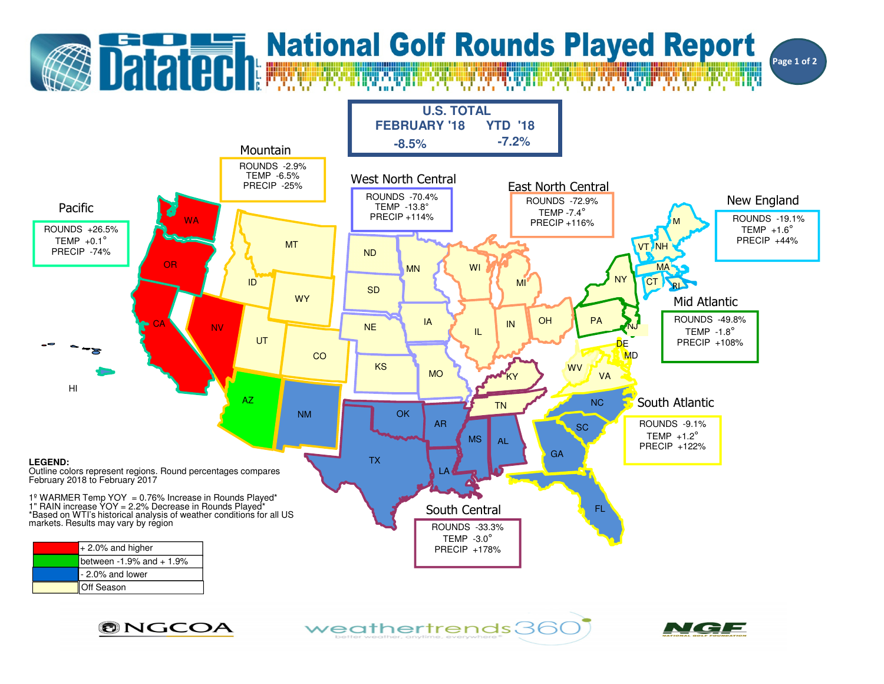

ONGCOA